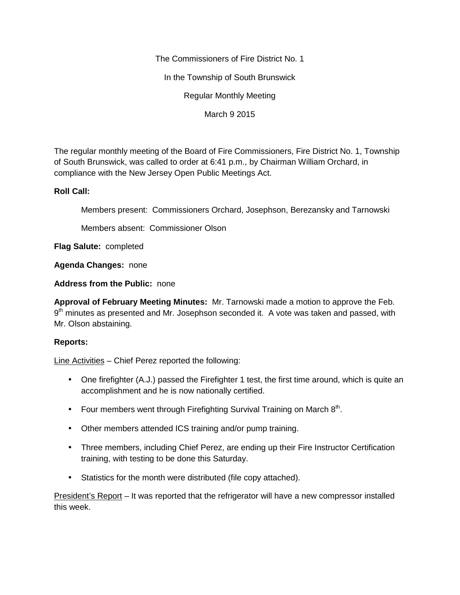The Commissioners of Fire District No. 1

In the Township of South Brunswick

Regular Monthly Meeting

March 9 2015

The regular monthly meeting of the Board of Fire Commissioners, Fire District No. 1, Township of South Brunswick, was called to order at 6:41 p.m., by Chairman William Orchard, in compliance with the New Jersey Open Public Meetings Act.

## **Roll Call:**

Members present: Commissioners Orchard, Josephson, Berezansky and Tarnowski

Members absent: Commissioner Olson

**Flag Salute:** completed

**Agenda Changes:** none

**Address from the Public:** none

**Approval of February Meeting Minutes:** Mr. Tarnowski made a motion to approve the Feb. 9<sup>th</sup> minutes as presented and Mr. Josephson seconded it. A vote was taken and passed, with Mr. Olson abstaining.

## **Reports:**

Line Activities – Chief Perez reported the following:

- One firefighter (A.J.) passed the Firefighter 1 test, the first time around, which is quite an accomplishment and he is now nationally certified.
- Four members went through Firefighting Survival Training on March  $8<sup>th</sup>$ .
- Other members attended ICS training and/or pump training.
- Three members, including Chief Perez, are ending up their Fire Instructor Certification training, with testing to be done this Saturday.
- Statistics for the month were distributed (file copy attached).

President's Report – It was reported that the refrigerator will have a new compressor installed this week.